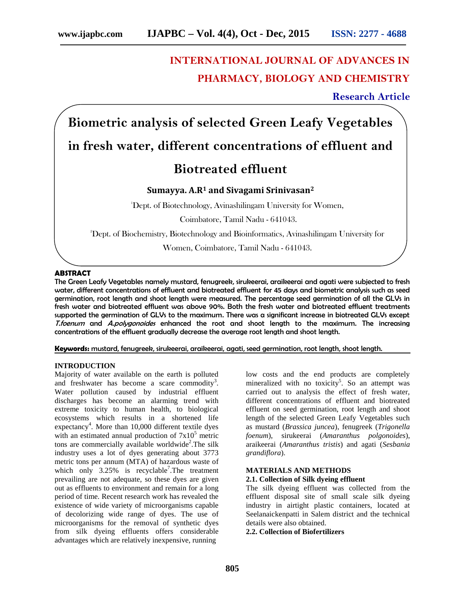# **INTERNATIONAL JOURNAL OF ADVANCES IN PHARMACY, BIOLOGY AND CHEMISTRY**

**Research Article**

**Biometric analysis of selected Green Leafy Vegetables**

## **in fresh water, different concentrations of effluent and**

## **Biotreated effluent**

## **Sumayya. A.R<sup>1</sup> and Sivagami Srinivasan<sup>2</sup>**

<sup>1</sup>Dept. of Biotechnology, Avinashilingam University for Women,

Coimbatore, Tamil Nadu - 641043.

<sup>2</sup>Dept. of Biochemistry, Biotechnology and Bioinformatics, Avinashilingam University for

Women, Coimbatore, Tamil Nadu - 641043.

## **ABSTRACT**

The Green Leafy Vegetables namely mustard, fenugreek, sirukeerai, araikeerai and agati were subjected to fresh water, different concentrations of effluent and biotreated effluent for 45 days and biometric analysis such as seed germination, root length and shoot length were measured. The percentage seed germination of all the GLVs in fresh water and biotreated effluent was above 90%. Both the fresh water and biotreated effluent treatments supported the germination of GLVs to the maximum. There was a significant increase in biotreated GLVs except *T.foenum* and *A.polygonoides* enhanced the root and shoot length to the maximum. The increasing concentrations of the effluent gradually decrease the average root length and shoot length.

**Keywords:** mustard, fenugreek, sirukeerai, araikeerai, agati, seed germination, root length, shoot length.

## **INTRODUCTION**

Majority of water available on the earth is polluted and freshwater has become a scare commodity<sup>3</sup>. Water pollution caused by industrial effluent discharges has become an alarming trend with extreme toxicity to human health, to biological ecosystems which results in a shortened life expectancy<sup>4</sup>. More than 10,000 different textile dyes with an estimated annual production of  $7x10<sup>5</sup>$  metric tons are commercially available worldwide<sup>2</sup>. The silk industry uses a lot of dyes generating about 3773 metric tons per annum (MTA) of hazardous waste of which only  $3.25\%$  is recyclable<sup>7</sup>. The treatment prevailing are not adequate, so these dyes are given out as effluents to environment and remain for a long period of time. Recent research work has revealed the existence of wide variety of microorganisms capable of decolorizing wide range of dyes. The use of microorganisms for the removal of synthetic dyes from silk dyeing effluents offers considerable advantages which are relatively inexpensive, running

low costs and the end products are completely mineralized with no toxicity<sup>5</sup>. So an attempt was carried out to analysis the effect of fresh water, different concentrations of effluent and biotreated effluent on seed germination, root length and shoot length of the selected Green Leafy Vegetables such as mustard (*Brassica juncea*), fenugreek (*Trigonella foenum*), sirukeerai (*Amaranthus polgonoides*), araikeerai (*Amaranthus tristis*) and agati (*Sesbania grandiflora*).

## **MATERIALS AND METHODS**

## **2.1. Collection of Silk dyeing effluent**

The silk dyeing effluent was collected from the effluent disposal site of small scale silk dyeing industry in airtight plastic containers, located at Seelanaickenpatti in Salem district and the technical details were also obtained.

**2.2. Collection of Biofertilizers**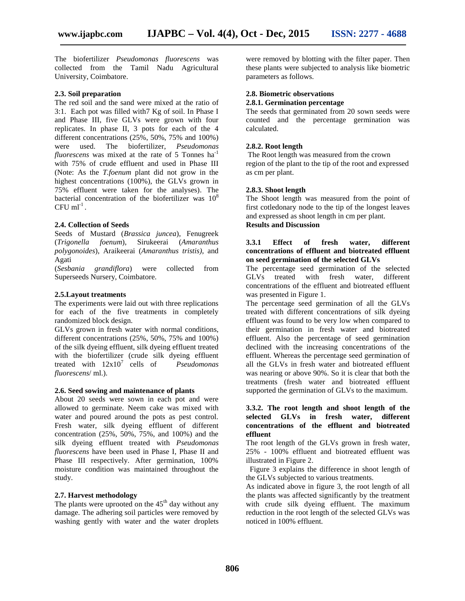The biofertilizer *Pseudomonas fluorescens* was collected from the Tamil Nadu Agricultural University, Coimbatore.

## **2.3. Soil preparation**

The red soil and the sand were mixed at the ratio of 3:1. Each pot was filled with7 Kg of soil. In Phase I and Phase III, five GLVs were grown with four replicates. In phase II, 3 pots for each of the 4 different concentrations (25%, 50%, 75% and 100%) were used. The biofertilizer, *Pseudomonas fluorescens* was mixed at the rate of 5 Tonnes ha<sup>-1</sup> with 75% of crude effluent and used in Phase III (Note: As the *T.foenum* plant did not grow in the highest concentrations (100%), the GLVs grown in 75% effluent were taken for the analyses). The bacterial concentration of the biofertilizer was  $10^8$  $CFU$  ml<sup>-1</sup>.

## **2.4. Collection of Seeds**

Seeds of Mustard (*Brassica juncea*), Fenugreek (*Trigonella foenum*), Sirukeerai (*Amaranthus polygonoides*), Araikeerai (*Amaranthus tristis)*, and Agati

(*Sesbania grandiflora*) were collected from Superseeds Nursery, Coimbatore.

## **2.5.Layout treatments**

The experiments were laid out with three replications for each of the five treatments in completely randomized block design.

GLVs grown in fresh water with normal conditions, different concentrations (25%, 50%, 75% and 100%) of the silk dyeing effluent, silk dyeing effluent treated with the biofertilizer (crude silk dyeing effluent treated with 12x10<sup>7</sup> cells of *Pseudomonas fluorescens*/ ml.).

## **2.6. Seed sowing and maintenance of plants**

About 20 seeds were sown in each pot and were allowed to germinate. Neem cake was mixed with water and poured around the pots as pest control. Fresh water, silk dyeing effluent of different concentration (25%, 50%, 75%, and 100%) and the silk dyeing effluent treated with *Pseudomonas fluorescens* have been used in Phase I, Phase II and Phase III respectively. After germination, 100% moisture condition was maintained throughout the study.

## **2.7. Harvest methodology**

The plants were uprooted on the  $45<sup>th</sup>$  day without any damage. The adhering soil particles were removed by washing gently with water and the water droplets were removed by blotting with the filter paper. Then these plants were subjected to analysis like biometric parameters as follows.

#### **2.8. Biometric observations 2.8.1. Germination percentage**

The seeds that germinated from 20 sown seeds were counted and the percentage germination was calculated.

#### **2.8.2. Root length**

The Root length was measured from the crown region of the plant to the tip of the root and expressed as cm per plant.

## **2.8.3. Shoot length**

The Shoot length was measured from the point of first cotledonary node to the tip of the longest leaves and expressed as shoot length in cm per plant. **Results and Discussion**

## **3.3.1 Effect of fresh water, different concentrations of effluent and biotreated effluent on seed germination of the selected GLVs**

The percentage seed germination of the selected GLVs treated with fresh water, different concentrations of the effluent and biotreated effluent was presented in Figure 1.

The percentage seed germination of all the GLVs treated with different concentrations of silk dyeing effluent was found to be very low when compared to their germination in fresh water and biotreated effluent. Also the percentage of seed germination declined with the increasing concentrations of the effluent. Whereas the percentage seed germination of all the GLVs in fresh water and biotreated effluent was nearing or above 90%. So it is clear that both the treatments (fresh water and biotreated effluent supported the germination of GLVs to the maximum.

## **3.3.2. The root length and shoot length of the selected GLVs in fresh water, different concentrations of the effluent and biotreated effluent**

The root length of the GLVs grown in fresh water, 25% - 100% effluent and biotreated effluent was illustrated in Figure 2.

Figure 3 explains the difference in shoot length of the GLVs subjected to various treatments.

As indicated above in figure 3, the root length of all the plants was affected significantly by the treatment with crude silk dyeing effluent. The maximum reduction in the root length of the selected GLVs was noticed in 100% effluent.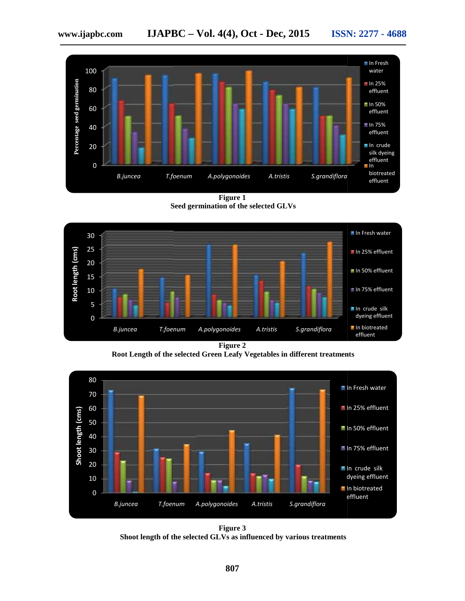

**Figure 1 Seed germination of the selected GLVs**



**Figure 2**

**Root Length of the selected Green Leafy Vegetables in different treatments**



**Figure 3 Shoot length of the selected GLVs as influenced by various treatments**